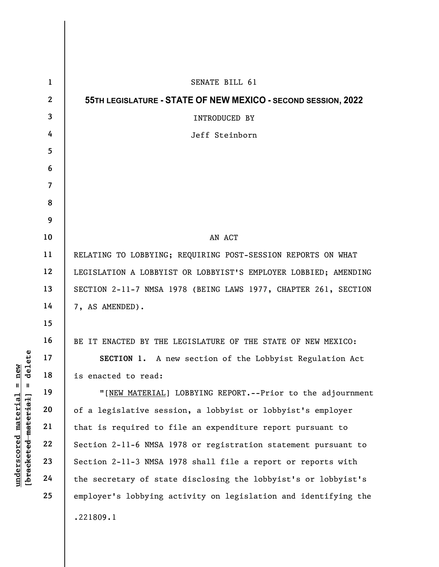|                                                                                  | $\mathbf{1}$   | SENATE BILL 61                                                  |
|----------------------------------------------------------------------------------|----------------|-----------------------------------------------------------------|
|                                                                                  | $\mathbf{2}$   | 55TH LEGISLATURE - STATE OF NEW MEXICO - SECOND SESSION, 2022   |
|                                                                                  | 3              | INTRODUCED BY                                                   |
|                                                                                  | 4              | Jeff Steinborn                                                  |
|                                                                                  | 5              |                                                                 |
|                                                                                  | 6              |                                                                 |
|                                                                                  | $\overline{7}$ |                                                                 |
|                                                                                  | 8              |                                                                 |
|                                                                                  | 9              |                                                                 |
|                                                                                  | 10             | AN ACT                                                          |
|                                                                                  | 11             | RELATING TO LOBBYING; REQUIRING POST-SESSION REPORTS ON WHAT    |
|                                                                                  | 12             | LEGISLATION A LOBBYIST OR LOBBYIST'S EMPLOYER LOBBIED; AMENDING |
|                                                                                  | 13             | SECTION 2-11-7 NMSA 1978 (BEING LAWS 1977, CHAPTER 261, SECTION |
| delete<br>$n$ ew<br>$\mathsf{I}$<br>Ш<br><u>material</u><br>[bracketed material] | 14             | 7, AS AMENDED).                                                 |
|                                                                                  | 15             |                                                                 |
|                                                                                  | 16             | BE IT ENACTED BY THE LEGISLATURE OF THE STATE OF NEW MEXICO:    |
|                                                                                  | 17             | SECTION 1. A new section of the Lobbyist Regulation Act         |
|                                                                                  | 18             | is enacted to read:                                             |
|                                                                                  | 19             | "[NEW MATERIAL] LOBBYING REPORT.--Prior to the adjournment      |
|                                                                                  | 20             | of a legislative session, a lobbyist or lobbyist's employer     |
|                                                                                  | 21             | that is required to file an expenditure report pursuant to      |
|                                                                                  | 22             | Section 2-11-6 NMSA 1978 or registration statement pursuant to  |
| underscored                                                                      | 23             | Section 2-11-3 NMSA 1978 shall file a report or reports with    |
|                                                                                  | 24             | the secretary of state disclosing the lobbyist's or lobbyist's  |
|                                                                                  | 25             | employer's lobbying activity on legislation and identifying the |
|                                                                                  |                | .221809.1                                                       |
|                                                                                  |                |                                                                 |

 $\overline{\phantom{a}}$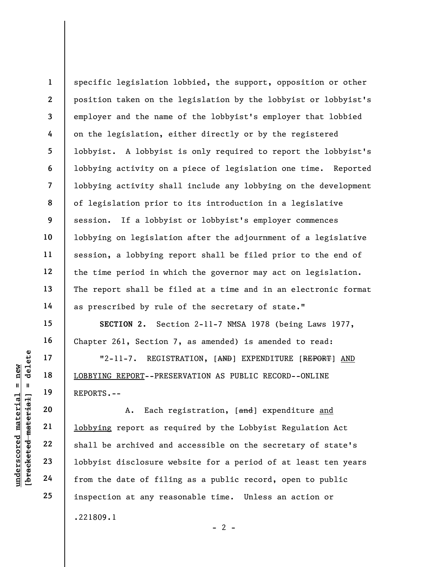1 2 3 4 5 7 8 9 10 11 12 13 specific legislation lobbied, the support, opposition or other position taken on the legislation by the lobbyist or lobbyist's employer and the name of the lobbyist's employer that lobbied on the legislation, either directly or by the registered lobbyist. A lobbyist is only required to report the lobbyist's lobbying activity on a piece of legislation one time. Reported lobbying activity shall include any lobbying on the development of legislation prior to its introduction in a legislative session. If a lobbyist or lobbyist's employer commences lobbying on legislation after the adjournment of a legislative session, a lobbying report shall be filed prior to the end of the time period in which the governor may act on legislation. The report shall be filed at a time and in an electronic format as prescribed by rule of the secretary of state."

SECTION 2. Section 2-11-7 NMSA 1978 (being Laws 1977, Chapter 261, Section 7, as amended) is amended to read:

"2-11-7. REGISTRATION, [AND] EXPENDITURE [REPORT] AND LOBBYING REPORT--PRESERVATION AS PUBLIC RECORD--ONLINE REPORTS.--

UN VENTING REPORT-PRES<br>
UN VENTING REPORT-PRES<br>
UN VENTING REPORT-PRES<br>
REPORTS.--<br>
20<br>
21 1obbying report as re<br>
22 shall be archived and<br>
23 1obbyist disclosure w<br>
24 from the date of fili A. Each registration, [and] expenditure and lobbying report as required by the Lobbyist Regulation Act shall be archived and accessible on the secretary of state's lobbyist disclosure website for a period of at least ten years from the date of filing as a public record, open to public inspection at any reasonable time. Unless an action or .221809.1  $- 2 -$ 

6

14

15

16

17

18

19

20

21

22

23

24

25